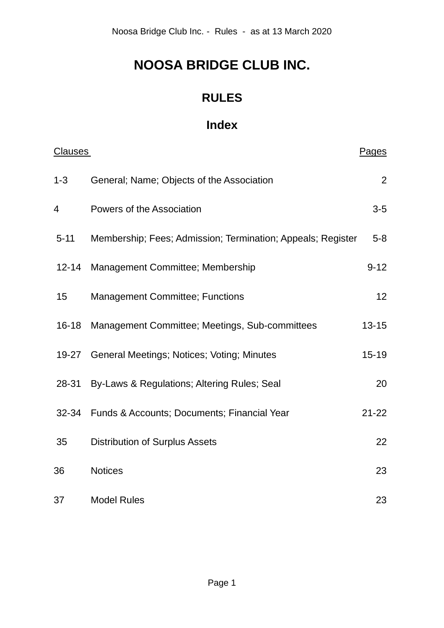# **NOOSA BRIDGE CLUB INC.**

## **RULES**

## **Index**

| <b>Clauses</b> |                                                             | Pages           |
|----------------|-------------------------------------------------------------|-----------------|
| $1 - 3$        | General; Name; Objects of the Association                   | 2               |
| 4              | Powers of the Association                                   | $3-5$           |
| $5 - 11$       | Membership; Fees; Admission; Termination; Appeals; Register | $5 - 8$         |
| $12 - 14$      | Management Committee; Membership                            | $9 - 12$        |
| 15             | <b>Management Committee; Functions</b>                      | 12 <sup>2</sup> |
| $16 - 18$      | Management Committee; Meetings, Sub-committees              | $13 - 15$       |
| $19 - 27$      | General Meetings; Notices; Voting; Minutes                  | $15 - 19$       |
| 28-31          | By-Laws & Regulations; Altering Rules; Seal                 | 20              |
| $32 - 34$      | Funds & Accounts; Documents; Financial Year                 | $21 - 22$       |
| 35             | <b>Distribution of Surplus Assets</b>                       | 22              |
| 36             | <b>Notices</b>                                              | 23              |
| 37             | <b>Model Rules</b>                                          | 23              |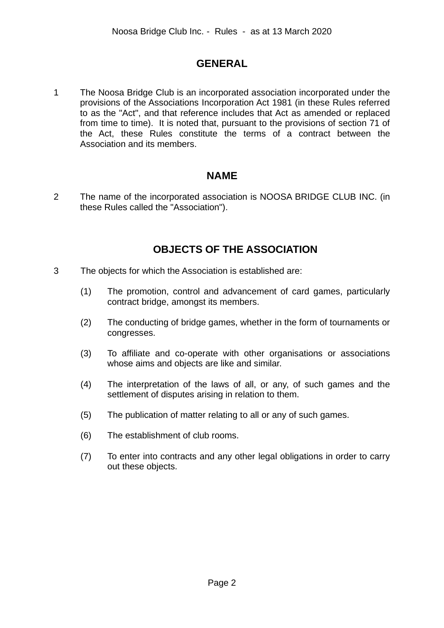## **GENERAL**

1 The Noosa Bridge Club is an incorporated association incorporated under the provisions of the Associations Incorporation Act 1981 (in these Rules referred to as the "Act", and that reference includes that Act as amended or replaced from time to time). It is noted that, pursuant to the provisions of section 71 of the Act, these Rules constitute the terms of a contract between the Association and its members.

## **NAME**

2 The name of the incorporated association is NOOSA BRIDGE CLUB INC. (in these Rules called the "Association").

## **OBJECTS OF THE ASSOCIATION**

- 3 The objects for which the Association is established are:
	- (1) The promotion, control and advancement of card games, particularly contract bridge, amongst its members.
	- (2) The conducting of bridge games, whether in the form of tournaments or congresses.
	- (3) To affiliate and co-operate with other organisations or associations whose aims and objects are like and similar.
	- (4) The interpretation of the laws of all, or any, of such games and the settlement of disputes arising in relation to them.
	- (5) The publication of matter relating to all or any of such games.
	- (6) The establishment of club rooms.
	- (7) To enter into contracts and any other legal obligations in order to carry out these objects.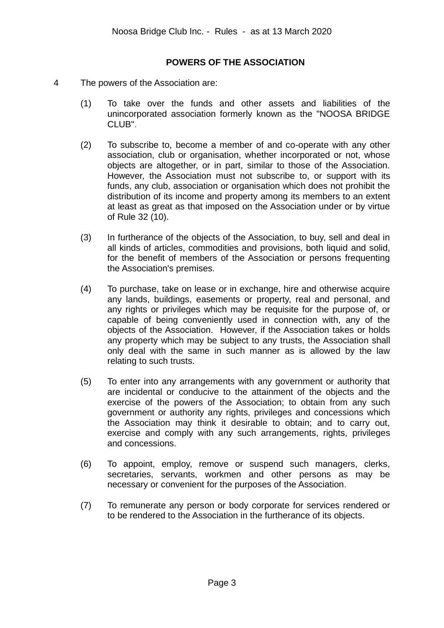## **POWERS OF THE ASSOCIATION**

- 4 The powers of the Association are:
	- (1) To take over the funds and other assets and liabilities of the unincorporated association formerly known as the "NOOSA BRIDGE CLUB".
	- (2) To subscribe to, become a member of and co-operate with any other association, club or organisation, whether incorporated or not, whose objects are altogether, or in part, similar to those of the Association. However, the Association must not subscribe to, or support with its funds, any club, association or organisation which does not prohibit the distribution of its income and property among its members to an extent at least as great as that imposed on the Association under or by virtue of Rule 32 (10).
	- (3) In furtherance of the objects of the Association, to buy, sell and deal in all kinds of articles, commodities and provisions, both liquid and solid, for the benefit of members of the Association or persons frequenting the Association's premises.
	- (4) To purchase, take on lease or in exchange, hire and otherwise acquire any lands, buildings, easements or property, real and personal, and any rights or privileges which may be requisite for the purpose of, or capable of being conveniently used in connection with, any of the objects of the Association. However, if the Association takes or holds any property which may be subject to any trusts, the Association shall only deal with the same in such manner as is allowed by the law relating to such trusts.
	- (5) To enter into any arrangements with any government or authority that are incidental or conducive to the attainment of the objects and the exercise of the powers of the Association; to obtain from any such government or authority any rights, privileges and concessions which the Association may think it desirable to obtain; and to carry out, exercise and comply with any such arrangements, rights, privileges and concessions.
	- (6) To appoint, employ, remove or suspend such managers, clerks, secretaries, servants, workmen and other persons as may be necessary or convenient for the purposes of the Association.
	- (7) To remunerate any person or body corporate for services rendered or to be rendered to the Association in the furtherance of its objects.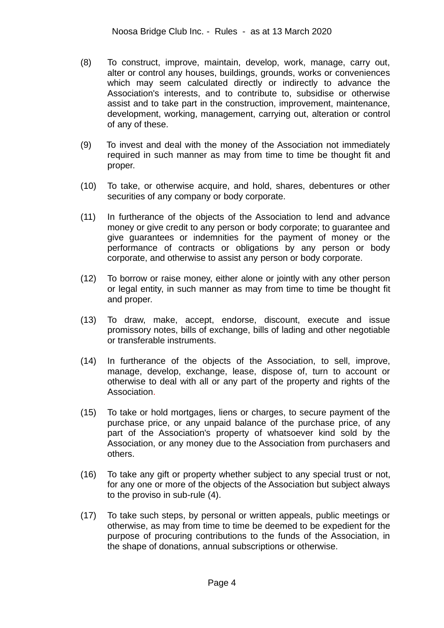- (8) To construct, improve, maintain, develop, work, manage, carry out, alter or control any houses, buildings, grounds, works or conveniences which may seem calculated directly or indirectly to advance the Association's interests, and to contribute to, subsidise or otherwise assist and to take part in the construction, improvement, maintenance, development, working, management, carrying out, alteration or control of any of these.
- (9) To invest and deal with the money of the Association not immediately required in such manner as may from time to time be thought fit and proper.
- (10) To take, or otherwise acquire, and hold, shares, debentures or other securities of any company or body corporate.
- (11) In furtherance of the objects of the Association to lend and advance money or give credit to any person or body corporate; to guarantee and give guarantees or indemnities for the payment of money or the performance of contracts or obligations by any person or body corporate, and otherwise to assist any person or body corporate.
- (12) To borrow or raise money, either alone or jointly with any other person or legal entity, in such manner as may from time to time be thought fit and proper.
- (13) To draw, make, accept, endorse, discount, execute and issue promissory notes, bills of exchange, bills of lading and other negotiable or transferable instruments.
- (14) In furtherance of the objects of the Association, to sell, improve, manage, develop, exchange, lease, dispose of, turn to account or otherwise to deal with all or any part of the property and rights of the Association.
- (15) To take or hold mortgages, liens or charges, to secure payment of the purchase price, or any unpaid balance of the purchase price, of any part of the Association's property of whatsoever kind sold by the Association, or any money due to the Association from purchasers and others.
- (16) To take any gift or property whether subject to any special trust or not, for any one or more of the objects of the Association but subject always to the proviso in sub-rule (4).
- (17) To take such steps, by personal or written appeals, public meetings or otherwise, as may from time to time be deemed to be expedient for the purpose of procuring contributions to the funds of the Association, in the shape of donations, annual subscriptions or otherwise.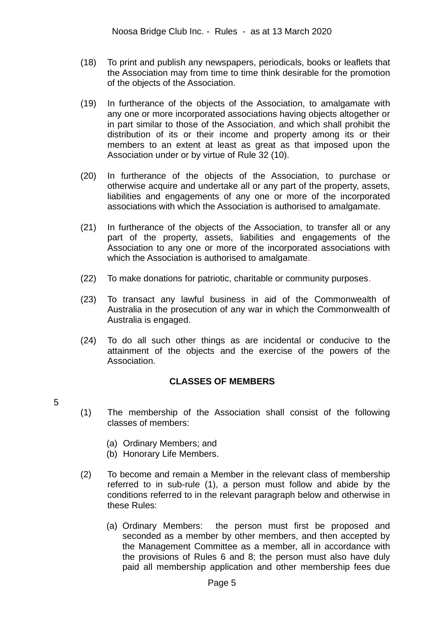- (18) To print and publish any newspapers, periodicals, books or leaflets that the Association may from time to time think desirable for the promotion of the objects of the Association.
- (19) In furtherance of the objects of the Association, to amalgamate with any one or more incorporated associations having objects altogether or in part similar to those of the Association, and which shall prohibit the distribution of its or their income and property among its or their members to an extent at least as great as that imposed upon the Association under or by virtue of Rule 32 (10).
- (20) In furtherance of the objects of the Association, to purchase or otherwise acquire and undertake all or any part of the property, assets, liabilities and engagements of any one or more of the incorporated associations with which the Association is authorised to amalgamate.
- (21) In furtherance of the objects of the Association, to transfer all or any part of the property, assets, liabilities and engagements of the Association to any one or more of the incorporated associations with which the Association is authorised to amalgamate.
- (22) To make donations for patriotic, charitable or community purposes.
- (23) To transact any lawful business in aid of the Commonwealth of Australia in the prosecution of any war in which the Commonwealth of Australia is engaged.
- (24) To do all such other things as are incidental or conducive to the attainment of the objects and the exercise of the powers of the Association.

## **CLASSES OF MEMBERS**

- 5
- (1) The membership of the Association shall consist of the following classes of members:
	- (a) Ordinary Members; and
	- (b) Honorary Life Members.
- (2) To become and remain a Member in the relevant class of membership referred to in sub-rule (1), a person must follow and abide by the conditions referred to in the relevant paragraph below and otherwise in these Rules:
	- (a) Ordinary Members: the person must first be proposed and seconded as a member by other members, and then accepted by the Management Committee as a member, all in accordance with the provisions of Rules 6 and 8; the person must also have duly paid all membership application and other membership fees due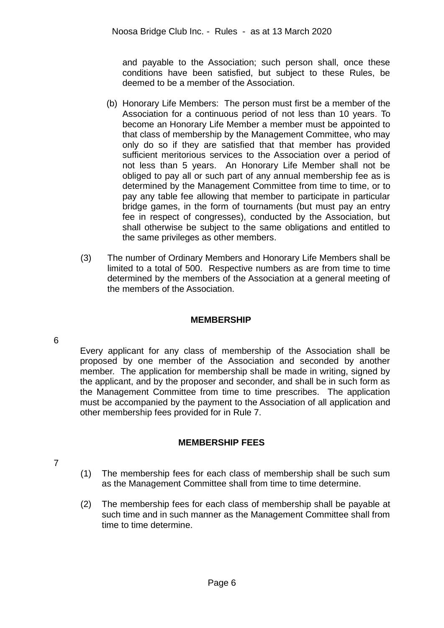and payable to the Association; such person shall, once these conditions have been satisfied, but subject to these Rules, be deemed to be a member of the Association.

- (b) Honorary Life Members: The person must first be a member of the Association for a continuous period of not less than 10 years. To become an Honorary Life Member a member must be appointed to that class of membership by the Management Committee, who may only do so if they are satisfied that that member has provided sufficient meritorious services to the Association over a period of not less than 5 years. An Honorary Life Member shall not be obliged to pay all or such part of any annual membership fee as is determined by the Management Committee from time to time, or to pay any table fee allowing that member to participate in particular bridge games, in the form of tournaments (but must pay an entry fee in respect of congresses), conducted by the Association, but shall otherwise be subject to the same obligations and entitled to the same privileges as other members.
- (3) The number of Ordinary Members and Honorary Life Members shall be limited to a total of 500. Respective numbers as are from time to time determined by the members of the Association at a general meeting of the members of the Association.

## **MEMBERSHIP**

6

Every applicant for any class of membership of the Association shall be proposed by one member of the Association and seconded by another member. The application for membership shall be made in writing, signed by the applicant, and by the proposer and seconder, and shall be in such form as the Management Committee from time to time prescribes. The application must be accompanied by the payment to the Association of all application and other membership fees provided for in Rule 7.

## **MEMBERSHIP FEES**

7

- (1) The membership fees for each class of membership shall be such sum as the Management Committee shall from time to time determine.
- (2) The membership fees for each class of membership shall be payable at such time and in such manner as the Management Committee shall from time to time determine.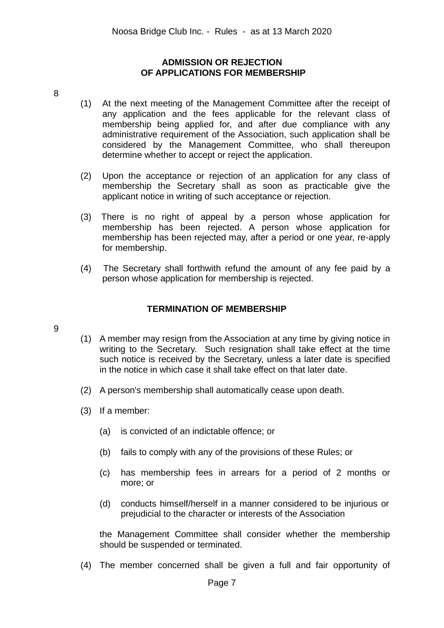## **ADMISSION OR REJECTION OF APPLICATIONS FOR MEMBERSHIP**

- 8
- (1) At the next meeting of the Management Committee after the receipt of any application and the fees applicable for the relevant class of membership being applied for, and after due compliance with any administrative requirement of the Association, such application shall be considered by the Management Committee, who shall thereupon determine whether to accept or reject the application.
- (2) Upon the acceptance or rejection of an application for any class of membership the Secretary shall as soon as practicable give the applicant notice in writing of such acceptance or rejection.
- (3) There is no right of appeal by a person whose application for membership has been rejected. A person whose application for membership has been rejected may, after a period or one year, re-apply for membership.
- (4) The Secretary shall forthwith refund the amount of any fee paid by a person whose application for membership is rejected.

## **TERMINATION OF MEMBERSHIP**

- 9
- (1) A member may resign from the Association at any time by giving notice in writing to the Secretary. Such resignation shall take effect at the time such notice is received by the Secretary, unless a later date is specified in the notice in which case it shall take effect on that later date.
- (2) A person's membership shall automatically cease upon death.
- (3) If a member:
	- (a) is convicted of an indictable offence; or
	- (b) fails to comply with any of the provisions of these Rules; or
	- (c) has membership fees in arrears for a period of 2 months or more; or
	- (d) conducts himself/herself in a manner considered to be injurious or prejudicial to the character or interests of the Association

the Management Committee shall consider whether the membership should be suspended or terminated.

(4) The member concerned shall be given a full and fair opportunity of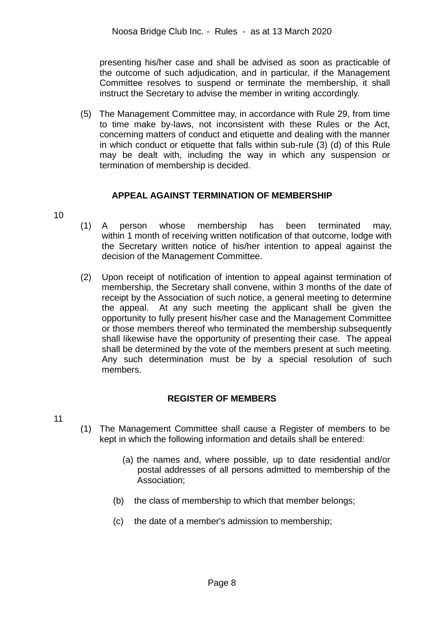presenting his/her case and shall be advised as soon as practicable of the outcome of such adjudication, and in particular, if the Management Committee resolves to suspend or terminate the membership, it shall instruct the Secretary to advise the member in writing accordingly.

(5) The Management Committee may, in accordance with Rule 29, from time to time make by-laws, not inconsistent with these Rules or the Act, concerning matters of conduct and etiquette and dealing with the manner in which conduct or etiquette that falls within sub-rule (3) (d) of this Rule may be dealt with, including the way in which any suspension or termination of membership is decided.

## **APPEAL AGAINST TERMINATION OF MEMBERSHIP**

- 10
- (1) A person whose membership has been terminated may, within 1 month of receiving written notification of that outcome, lodge with the Secretary written notice of his/her intention to appeal against the decision of the Management Committee.
- (2) Upon receipt of notification of intention to appeal against termination of membership, the Secretary shall convene, within 3 months of the date of receipt by the Association of such notice, a general meeting to determine the appeal. At any such meeting the applicant shall be given the opportunity to fully present his/her case and the Management Committee or those members thereof who terminated the membership subsequently shall likewise have the opportunity of presenting their case. The appeal shall be determined by the vote of the members present at such meeting. Any such determination must be by a special resolution of such members.

## **REGISTER OF MEMBERS**

- 11
- (1) The Management Committee shall cause a Register of members to be kept in which the following information and details shall be entered:
	- (a) the names and, where possible, up to date residential and/or postal addresses of all persons admitted to membership of the Association;
	- (b) the class of membership to which that member belongs;
	- (c) the date of a member's admission to membership;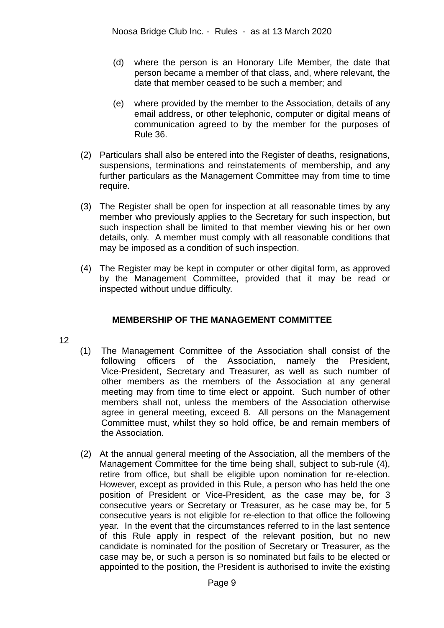- (d) where the person is an Honorary Life Member, the date that person became a member of that class, and, where relevant, the date that member ceased to be such a member; and
- (e) where provided by the member to the Association, details of any email address, or other telephonic, computer or digital means of communication agreed to by the member for the purposes of Rule 36.
- (2) Particulars shall also be entered into the Register of deaths, resignations, suspensions, terminations and reinstatements of membership, and any further particulars as the Management Committee may from time to time require.
- (3) The Register shall be open for inspection at all reasonable times by any member who previously applies to the Secretary for such inspection, but such inspection shall be limited to that member viewing his or her own details, only. A member must comply with all reasonable conditions that may be imposed as a condition of such inspection.
- (4) The Register may be kept in computer or other digital form, as approved by the Management Committee, provided that it may be read or inspected without undue difficulty.

## **MEMBERSHIP OF THE MANAGEMENT COMMITTEE**

- 12
- (1) The Management Committee of the Association shall consist of the following officers of the Association, namely the President, Vice-President, Secretary and Treasurer, as well as such number of other members as the members of the Association at any general meeting may from time to time elect or appoint. Such number of other members shall not, unless the members of the Association otherwise agree in general meeting, exceed 8. All persons on the Management Committee must, whilst they so hold office, be and remain members of the Association.
- (2) At the annual general meeting of the Association, all the members of the Management Committee for the time being shall, subject to sub-rule (4), retire from office, but shall be eligible upon nomination for re-election. However, except as provided in this Rule, a person who has held the one position of President or Vice-President, as the case may be, for 3 consecutive years or Secretary or Treasurer, as he case may be, for 5 consecutive years is not eligible for re-election to that office the following year. In the event that the circumstances referred to in the last sentence of this Rule apply in respect of the relevant position, but no new candidate is nominated for the position of Secretary or Treasurer, as the case may be, or such a person is so nominated but fails to be elected or appointed to the position, the President is authorised to invite the existing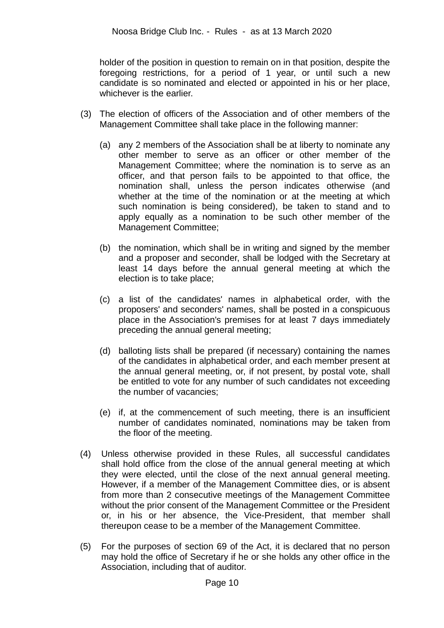holder of the position in question to remain on in that position, despite the foregoing restrictions, for a period of 1 year, or until such a new candidate is so nominated and elected or appointed in his or her place, whichever is the earlier.

- (3) The election of officers of the Association and of other members of the Management Committee shall take place in the following manner:
	- (a) any 2 members of the Association shall be at liberty to nominate any other member to serve as an officer or other member of the Management Committee; where the nomination is to serve as an officer, and that person fails to be appointed to that office, the nomination shall, unless the person indicates otherwise (and whether at the time of the nomination or at the meeting at which such nomination is being considered), be taken to stand and to apply equally as a nomination to be such other member of the Management Committee;
	- (b) the nomination, which shall be in writing and signed by the member and a proposer and seconder, shall be lodged with the Secretary at least 14 days before the annual general meeting at which the election is to take place;
	- (c) a list of the candidates' names in alphabetical order, with the proposers' and seconders' names, shall be posted in a conspicuous place in the Association's premises for at least 7 days immediately preceding the annual general meeting;
	- (d) balloting lists shall be prepared (if necessary) containing the names of the candidates in alphabetical order, and each member present at the annual general meeting, or, if not present, by postal vote, shall be entitled to vote for any number of such candidates not exceeding the number of vacancies;
	- (e) if, at the commencement of such meeting, there is an insufficient number of candidates nominated, nominations may be taken from the floor of the meeting.
- (4) Unless otherwise provided in these Rules, all successful candidates shall hold office from the close of the annual general meeting at which they were elected, until the close of the next annual general meeting. However, if a member of the Management Committee dies, or is absent from more than 2 consecutive meetings of the Management Committee without the prior consent of the Management Committee or the President or, in his or her absence, the Vice-President, that member shall thereupon cease to be a member of the Management Committee.
- (5) For the purposes of section 69 of the Act, it is declared that no person may hold the office of Secretary if he or she holds any other office in the Association, including that of auditor.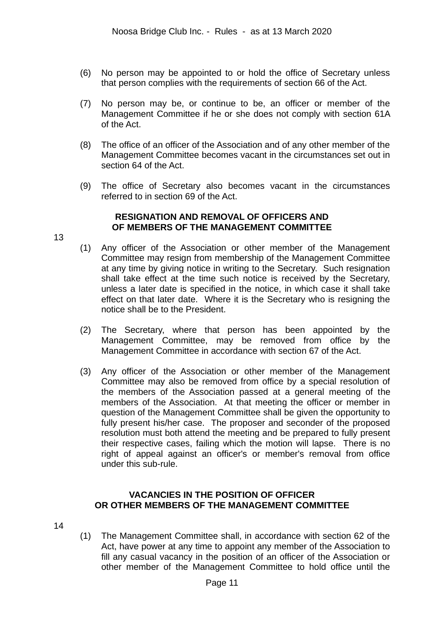- (6) No person may be appointed to or hold the office of Secretary unless that person complies with the requirements of section 66 of the Act.
- (7) No person may be, or continue to be, an officer or member of the Management Committee if he or she does not comply with section 61A of the Act.
- (8) The office of an officer of the Association and of any other member of the Management Committee becomes vacant in the circumstances set out in section 64 of the Act.
- (9) The office of Secretary also becomes vacant in the circumstances referred to in section 69 of the Act.

### **RESIGNATION AND REMOVAL OF OFFICERS AND OF MEMBERS OF THE MANAGEMENT COMMITTEE**

- (1) Any officer of the Association or other member of the Management Committee may resign from membership of the Management Committee at any time by giving notice in writing to the Secretary. Such resignation shall take effect at the time such notice is received by the Secretary, unless a later date is specified in the notice, in which case it shall take effect on that later date. Where it is the Secretary who is resigning the notice shall be to the President.
- (2) The Secretary, where that person has been appointed by the Management Committee, may be removed from office by the Management Committee in accordance with section 67 of the Act.
- (3) Any officer of the Association or other member of the Management Committee may also be removed from office by a special resolution of the members of the Association passed at a general meeting of the members of the Association. At that meeting the officer or member in question of the Management Committee shall be given the opportunity to fully present his/her case. The proposer and seconder of the proposed resolution must both attend the meeting and be prepared to fully present their respective cases, failing which the motion will lapse. There is no right of appeal against an officer's or member's removal from office under this sub-rule.

### **VACANCIES IN THE POSITION OF OFFICER OR OTHER MEMBERS OF THE MANAGEMENT COMMITTEE**

14

13

(1) The Management Committee shall, in accordance with section 62 of the Act, have power at any time to appoint any member of the Association to fill any casual vacancy in the position of an officer of the Association or other member of the Management Committee to hold office until the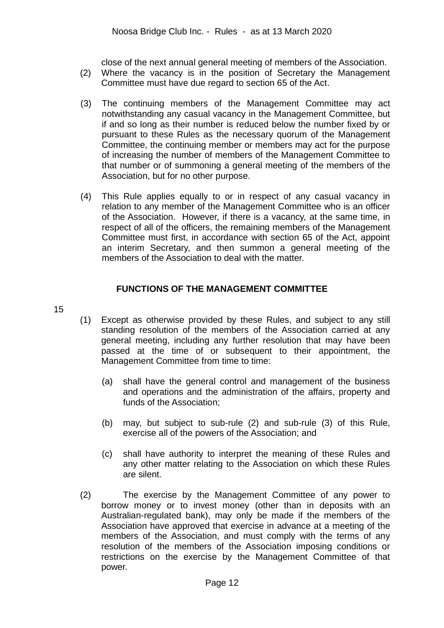close of the next annual general meeting of members of the Association.

- (2) Where the vacancy is in the position of Secretary the Management Committee must have due regard to section 65 of the Act.
- (3) The continuing members of the Management Committee may act notwithstanding any casual vacancy in the Management Committee, but if and so long as their number is reduced below the number fixed by or pursuant to these Rules as the necessary quorum of the Management Committee, the continuing member or members may act for the purpose of increasing the number of members of the Management Committee to that number or of summoning a general meeting of the members of the Association, but for no other purpose.
- (4) This Rule applies equally to or in respect of any casual vacancy in relation to any member of the Management Committee who is an officer of the Association. However, if there is a vacancy, at the same time, in respect of all of the officers, the remaining members of the Management Committee must first, in accordance with section 65 of the Act, appoint an interim Secretary, and then summon a general meeting of the members of the Association to deal with the matter.

## **FUNCTIONS OF THE MANAGEMENT COMMITTEE**

- 15
- (1) Except as otherwise provided by these Rules, and subject to any still standing resolution of the members of the Association carried at any general meeting, including any further resolution that may have been passed at the time of or subsequent to their appointment, the Management Committee from time to time:
	- (a) shall have the general control and management of the business and operations and the administration of the affairs, property and funds of the Association;
	- (b) may, but subject to sub-rule (2) and sub-rule (3) of this Rule, exercise all of the powers of the Association; and
	- (c) shall have authority to interpret the meaning of these Rules and any other matter relating to the Association on which these Rules are silent.
- (2) The exercise by the Management Committee of any power to borrow money or to invest money (other than in deposits with an Australian-regulated bank), may only be made if the members of the Association have approved that exercise in advance at a meeting of the members of the Association, and must comply with the terms of any resolution of the members of the Association imposing conditions or restrictions on the exercise by the Management Committee of that power.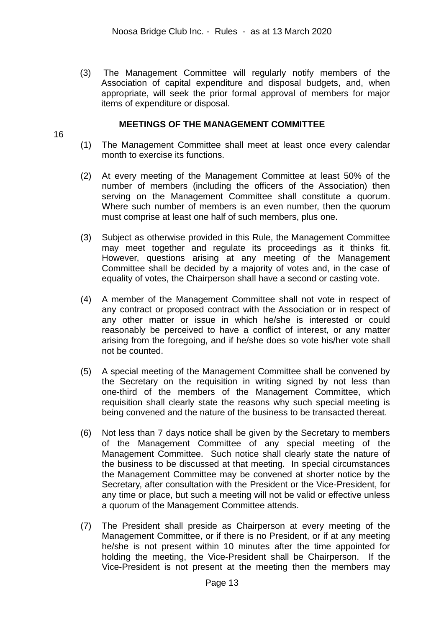(3) The Management Committee will regularly notify members of the Association of capital expenditure and disposal budgets, and, when appropriate, will seek the prior formal approval of members for major items of expenditure or disposal.

## **MEETINGS OF THE MANAGEMENT COMMITTEE**

16

- (1) The Management Committee shall meet at least once every calendar month to exercise its functions.
- (2) At every meeting of the Management Committee at least 50% of the number of members (including the officers of the Association) then serving on the Management Committee shall constitute a quorum. Where such number of members is an even number, then the quorum must comprise at least one half of such members, plus one.
- (3) Subject as otherwise provided in this Rule, the Management Committee may meet together and regulate its proceedings as it thinks fit. However, questions arising at any meeting of the Management Committee shall be decided by a majority of votes and, in the case of equality of votes, the Chairperson shall have a second or casting vote.
- (4) A member of the Management Committee shall not vote in respect of any contract or proposed contract with the Association or in respect of any other matter or issue in which he/she is interested or could reasonably be perceived to have a conflict of interest, or any matter arising from the foregoing, and if he/she does so vote his/her vote shall not be counted.
- (5) A special meeting of the Management Committee shall be convened by the Secretary on the requisition in writing signed by not less than one-third of the members of the Management Committee, which requisition shall clearly state the reasons why such special meeting is being convened and the nature of the business to be transacted thereat.
- (6) Not less than 7 days notice shall be given by the Secretary to members of the Management Committee of any special meeting of the Management Committee. Such notice shall clearly state the nature of the business to be discussed at that meeting. In special circumstances the Management Committee may be convened at shorter notice by the Secretary, after consultation with the President or the Vice-President, for any time or place, but such a meeting will not be valid or effective unless a quorum of the Management Committee attends.
- (7) The President shall preside as Chairperson at every meeting of the Management Committee, or if there is no President, or if at any meeting he/she is not present within 10 minutes after the time appointed for holding the meeting, the Vice-President shall be Chairperson. If the Vice-President is not present at the meeting then the members may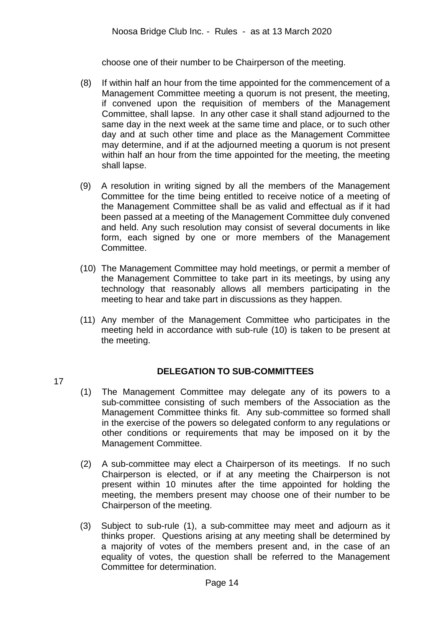choose one of their number to be Chairperson of the meeting.

- (8) If within half an hour from the time appointed for the commencement of a Management Committee meeting a quorum is not present, the meeting, if convened upon the requisition of members of the Management Committee, shall lapse. In any other case it shall stand adjourned to the same day in the next week at the same time and place, or to such other day and at such other time and place as the Management Committee may determine, and if at the adjourned meeting a quorum is not present within half an hour from the time appointed for the meeting, the meeting shall lapse.
- (9) A resolution in writing signed by all the members of the Management Committee for the time being entitled to receive notice of a meeting of the Management Committee shall be as valid and effectual as if it had been passed at a meeting of the Management Committee duly convened and held. Any such resolution may consist of several documents in like form, each signed by one or more members of the Management Committee.
- (10) The Management Committee may hold meetings, or permit a member of the Management Committee to take part in its meetings, by using any technology that reasonably allows all members participating in the meeting to hear and take part in discussions as they happen.
- (11) Any member of the Management Committee who participates in the meeting held in accordance with sub-rule (10) is taken to be present at the meeting.

17

## **DELEGATION TO SUB-COMMITTEES**

- (1) The Management Committee may delegate any of its powers to a sub-committee consisting of such members of the Association as the Management Committee thinks fit. Any sub-committee so formed shall in the exercise of the powers so delegated conform to any regulations or other conditions or requirements that may be imposed on it by the Management Committee.
- (2) A sub-committee may elect a Chairperson of its meetings. If no such Chairperson is elected, or if at any meeting the Chairperson is not present within 10 minutes after the time appointed for holding the meeting, the members present may choose one of their number to be Chairperson of the meeting.
- (3) Subject to sub-rule (1), a sub-committee may meet and adjourn as it thinks proper. Questions arising at any meeting shall be determined by a majority of votes of the members present and, in the case of an equality of votes, the question shall be referred to the Management Committee for determination.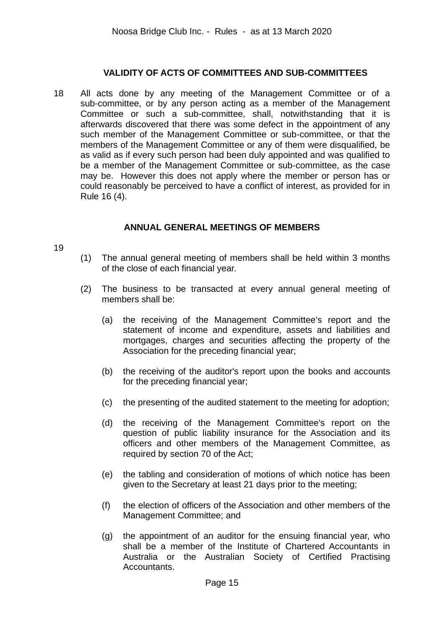## **VALIDITY OF ACTS OF COMMITTEES AND SUB-COMMITTEES**

18 All acts done by any meeting of the Management Committee or of a sub-committee, or by any person acting as a member of the Management Committee or such a sub-committee, shall, notwithstanding that it is afterwards discovered that there was some defect in the appointment of any such member of the Management Committee or sub-committee, or that the members of the Management Committee or any of them were disqualified, be as valid as if every such person had been duly appointed and was qualified to be a member of the Management Committee or sub-committee, as the case may be. However this does not apply where the member or person has or could reasonably be perceived to have a conflict of interest, as provided for in Rule 16 (4).

## **ANNUAL GENERAL MEETINGS OF MEMBERS**

#### 19

- (1) The annual general meeting of members shall be held within 3 months of the close of each financial year.
- (2) The business to be transacted at every annual general meeting of members shall be:
	- (a) the receiving of the Management Committee's report and the statement of income and expenditure, assets and liabilities and mortgages, charges and securities affecting the property of the Association for the preceding financial year;
	- (b) the receiving of the auditor's report upon the books and accounts for the preceding financial year;
	- (c) the presenting of the audited statement to the meeting for adoption;
	- (d) the receiving of the Management Committee's report on the question of public liability insurance for the Association and its officers and other members of the Management Committee, as required by section 70 of the Act;
	- (e) the tabling and consideration of motions of which notice has been given to the Secretary at least 21 days prior to the meeting;
	- (f) the election of officers of the Association and other members of the Management Committee; and
	- (g) the appointment of an auditor for the ensuing financial year, who shall be a member of the Institute of Chartered Accountants in Australia or the Australian Society of Certified Practising Accountants.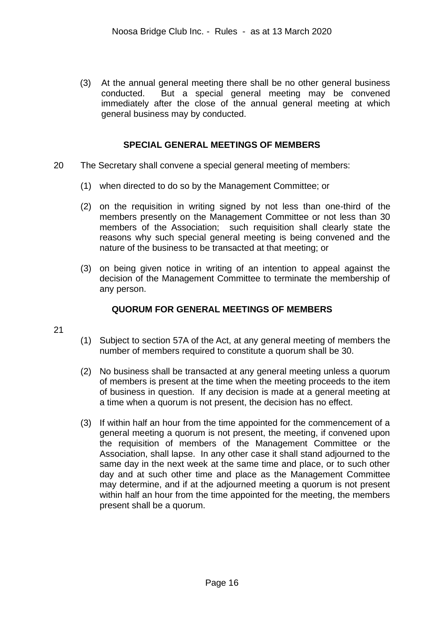(3) At the annual general meeting there shall be no other general business conducted. But a special general meeting may be convened immediately after the close of the annual general meeting at which general business may by conducted.

## **SPECIAL GENERAL MEETINGS OF MEMBERS**

- 20 The Secretary shall convene a special general meeting of members:
	- (1) when directed to do so by the Management Committee; or
	- (2) on the requisition in writing signed by not less than one-third of the members presently on the Management Committee or not less than 30 members of the Association; such requisition shall clearly state the reasons why such special general meeting is being convened and the nature of the business to be transacted at that meeting; or
	- (3) on being given notice in writing of an intention to appeal against the decision of the Management Committee to terminate the membership of any person.

## **QUORUM FOR GENERAL MEETINGS OF MEMBERS**

- 21
- (1) Subject to section 57A of the Act, at any general meeting of members the number of members required to constitute a quorum shall be 30.
- (2) No business shall be transacted at any general meeting unless a quorum of members is present at the time when the meeting proceeds to the item of business in question. If any decision is made at a general meeting at a time when a quorum is not present, the decision has no effect.
- (3) If within half an hour from the time appointed for the commencement of a general meeting a quorum is not present, the meeting, if convened upon the requisition of members of the Management Committee or the Association, shall lapse. In any other case it shall stand adjourned to the same day in the next week at the same time and place, or to such other day and at such other time and place as the Management Committee may determine, and if at the adjourned meeting a quorum is not present within half an hour from the time appointed for the meeting, the members present shall be a quorum.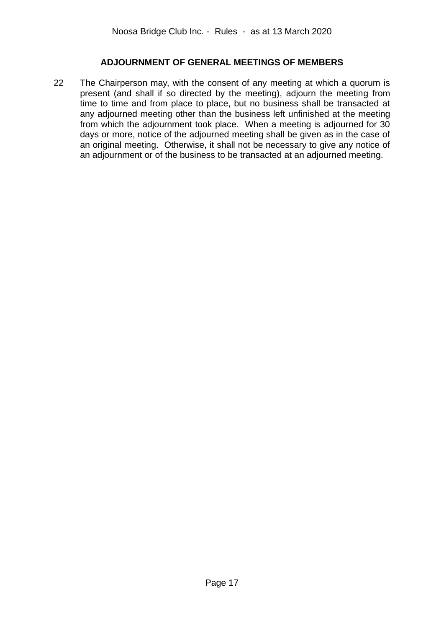## **ADJOURNMENT OF GENERAL MEETINGS OF MEMBERS**

22 The Chairperson may, with the consent of any meeting at which a quorum is present (and shall if so directed by the meeting), adjourn the meeting from time to time and from place to place, but no business shall be transacted at any adjourned meeting other than the business left unfinished at the meeting from which the adjournment took place. When a meeting is adjourned for 30 days or more, notice of the adjourned meeting shall be given as in the case of an original meeting. Otherwise, it shall not be necessary to give any notice of an adjournment or of the business to be transacted at an adjourned meeting.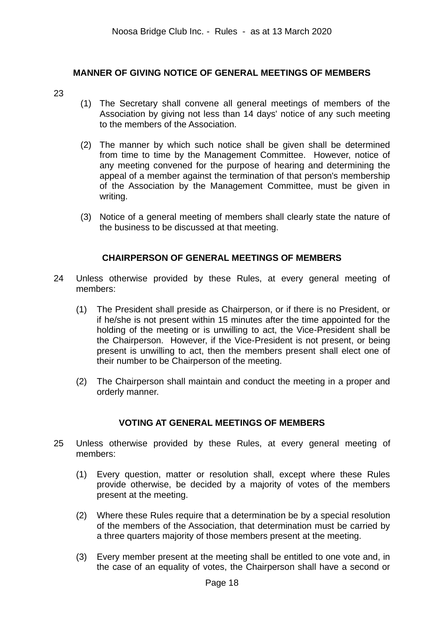## **MANNER OF GIVING NOTICE OF GENERAL MEETINGS OF MEMBERS**

- 23
- (1) The Secretary shall convene all general meetings of members of the Association by giving not less than 14 days' notice of any such meeting to the members of the Association.
- (2) The manner by which such notice shall be given shall be determined from time to time by the Management Committee. However, notice of any meeting convened for the purpose of hearing and determining the appeal of a member against the termination of that person's membership of the Association by the Management Committee, must be given in writing.
- (3) Notice of a general meeting of members shall clearly state the nature of the business to be discussed at that meeting.

## **CHAIRPERSON OF GENERAL MEETINGS OF MEMBERS**

- 24 Unless otherwise provided by these Rules, at every general meeting of members:
	- (1) The President shall preside as Chairperson, or if there is no President, or if he/she is not present within 15 minutes after the time appointed for the holding of the meeting or is unwilling to act, the Vice-President shall be the Chairperson. However, if the Vice-President is not present, or being present is unwilling to act, then the members present shall elect one of their number to be Chairperson of the meeting.
	- (2) The Chairperson shall maintain and conduct the meeting in a proper and orderly manner.

## **VOTING AT GENERAL MEETINGS OF MEMBERS**

- 25 Unless otherwise provided by these Rules, at every general meeting of members:
	- (1) Every question, matter or resolution shall, except where these Rules provide otherwise, be decided by a majority of votes of the members present at the meeting.
	- (2) Where these Rules require that a determination be by a special resolution of the members of the Association, that determination must be carried by a three quarters majority of those members present at the meeting.
	- (3) Every member present at the meeting shall be entitled to one vote and, in the case of an equality of votes, the Chairperson shall have a second or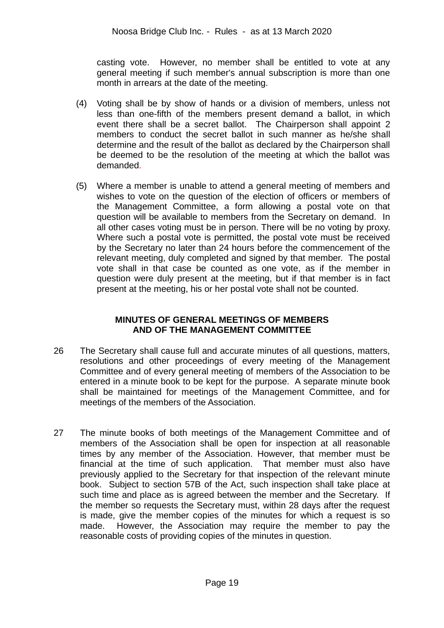casting vote. However, no member shall be entitled to vote at any general meeting if such member's annual subscription is more than one month in arrears at the date of the meeting.

- (4) Voting shall be by show of hands or a division of members, unless not less than one-fifth of the members present demand a ballot, in which event there shall be a secret ballot. The Chairperson shall appoint 2 members to conduct the secret ballot in such manner as he/she shall determine and the result of the ballot as declared by the Chairperson shall be deemed to be the resolution of the meeting at which the ballot was demanded.
- (5) Where a member is unable to attend a general meeting of members and wishes to vote on the question of the election of officers or members of the Management Committee, a form allowing a postal vote on that question will be available to members from the Secretary on demand. In all other cases voting must be in person. There will be no voting by proxy. Where such a postal vote is permitted, the postal vote must be received by the Secretary no later than 24 hours before the commencement of the relevant meeting, duly completed and signed by that member. The postal vote shall in that case be counted as one vote, as if the member in question were duly present at the meeting, but if that member is in fact present at the meeting, his or her postal vote shall not be counted.

## **MINUTES OF GENERAL MEETINGS OF MEMBERS AND OF THE MANAGEMENT COMMITTEE**

- 26 The Secretary shall cause full and accurate minutes of all questions, matters, resolutions and other proceedings of every meeting of the Management Committee and of every general meeting of members of the Association to be entered in a minute book to be kept for the purpose. A separate minute book shall be maintained for meetings of the Management Committee, and for meetings of the members of the Association.
- 27 The minute books of both meetings of the Management Committee and of members of the Association shall be open for inspection at all reasonable times by any member of the Association. However, that member must be financial at the time of such application. That member must also have previously applied to the Secretary for that inspection of the relevant minute book. Subject to section 57B of the Act, such inspection shall take place at such time and place as is agreed between the member and the Secretary. If the member so requests the Secretary must, within 28 days after the request is made, give the member copies of the minutes for which a request is so made. However, the Association may require the member to pay the reasonable costs of providing copies of the minutes in question.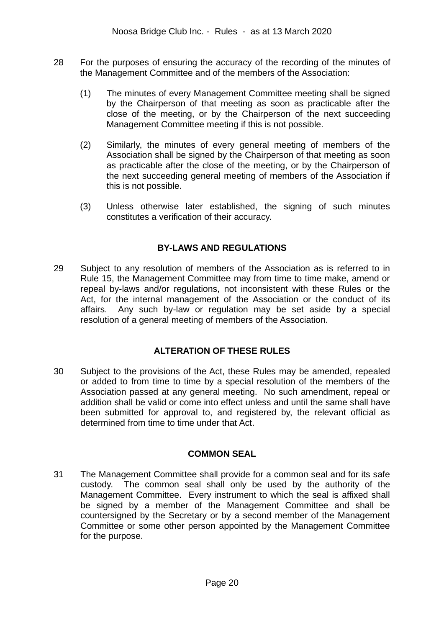- 28 For the purposes of ensuring the accuracy of the recording of the minutes of the Management Committee and of the members of the Association:
	- (1) The minutes of every Management Committee meeting shall be signed by the Chairperson of that meeting as soon as practicable after the close of the meeting, or by the Chairperson of the next succeeding Management Committee meeting if this is not possible.
	- (2) Similarly, the minutes of every general meeting of members of the Association shall be signed by the Chairperson of that meeting as soon as practicable after the close of the meeting, or by the Chairperson of the next succeeding general meeting of members of the Association if this is not possible.
	- (3) Unless otherwise later established, the signing of such minutes constitutes a verification of their accuracy.

## **BY-LAWS AND REGULATIONS**

29 Subject to any resolution of members of the Association as is referred to in Rule 15, the Management Committee may from time to time make, amend or repeal by-laws and/or regulations, not inconsistent with these Rules or the Act, for the internal management of the Association or the conduct of its affairs. Any such by-law or regulation may be set aside by a special resolution of a general meeting of members of the Association.

## **ALTERATION OF THESE RULES**

30 Subject to the provisions of the Act, these Rules may be amended, repealed or added to from time to time by a special resolution of the members of the Association passed at any general meeting. No such amendment, repeal or addition shall be valid or come into effect unless and until the same shall have been submitted for approval to, and registered by, the relevant official as determined from time to time under that Act.

## **COMMON SEAL**

31 The Management Committee shall provide for a common seal and for its safe custody. The common seal shall only be used by the authority of the Management Committee. Every instrument to which the seal is affixed shall be signed by a member of the Management Committee and shall be countersigned by the Secretary or by a second member of the Management Committee or some other person appointed by the Management Committee for the purpose.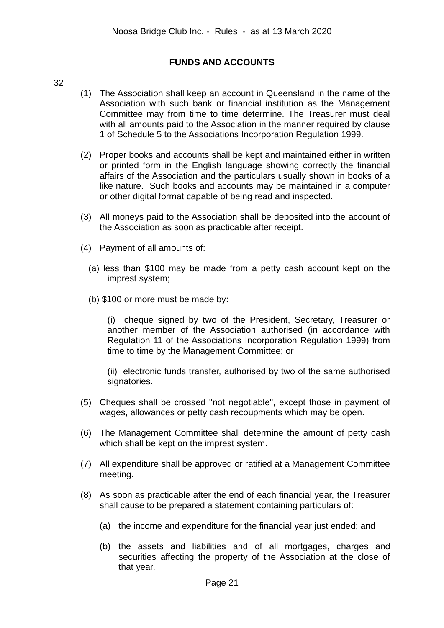## **FUNDS AND ACCOUNTS**

#### 32

- (1) The Association shall keep an account in Queensland in the name of the Association with such bank or financial institution as the Management Committee may from time to time determine. The Treasurer must deal with all amounts paid to the Association in the manner required by clause 1 of Schedule 5 to the Associations Incorporation Regulation 1999.
- (2) Proper books and accounts shall be kept and maintained either in written or printed form in the English language showing correctly the financial affairs of the Association and the particulars usually shown in books of a like nature. Such books and accounts may be maintained in a computer or other digital format capable of being read and inspected.
- (3) All moneys paid to the Association shall be deposited into the account of the Association as soon as practicable after receipt.
- (4) Payment of all amounts of:
	- (a) less than \$100 may be made from a petty cash account kept on the imprest system;
	- (b) \$100 or more must be made by:

(i) cheque signed by two of the President, Secretary, Treasurer or another member of the Association authorised (in accordance with Regulation 11 of the Associations Incorporation Regulation 1999) from time to time by the Management Committee; or

(ii) electronic funds transfer, authorised by two of the same authorised signatories.

- (5) Cheques shall be crossed "not negotiable", except those in payment of wages, allowances or petty cash recoupments which may be open.
- (6) The Management Committee shall determine the amount of petty cash which shall be kept on the imprest system.
- (7) All expenditure shall be approved or ratified at a Management Committee meeting.
- (8) As soon as practicable after the end of each financial year, the Treasurer shall cause to be prepared a statement containing particulars of:
	- (a) the income and expenditure for the financial year just ended; and
	- (b) the assets and liabilities and of all mortgages, charges and securities affecting the property of the Association at the close of that year.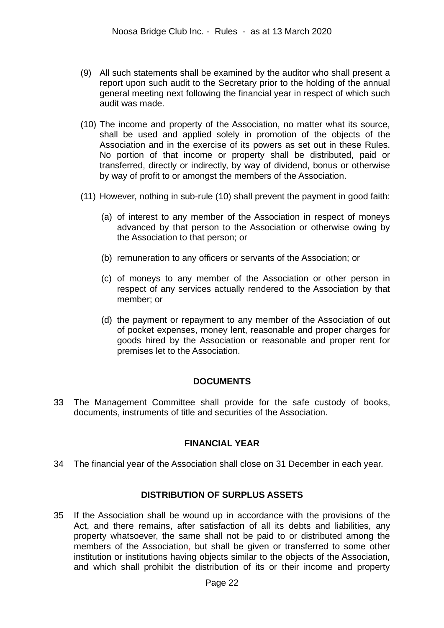- (9) All such statements shall be examined by the auditor who shall present a report upon such audit to the Secretary prior to the holding of the annual general meeting next following the financial year in respect of which such audit was made.
- (10) The income and property of the Association, no matter what its source, shall be used and applied solely in promotion of the objects of the Association and in the exercise of its powers as set out in these Rules. No portion of that income or property shall be distributed, paid or transferred, directly or indirectly, by way of dividend, bonus or otherwise by way of profit to or amongst the members of the Association.
- (11) However, nothing in sub-rule (10) shall prevent the payment in good faith:
	- (a) of interest to any member of the Association in respect of moneys advanced by that person to the Association or otherwise owing by the Association to that person; or
	- (b) remuneration to any officers or servants of the Association; or
	- (c) of moneys to any member of the Association or other person in respect of any services actually rendered to the Association by that member; or
	- (d) the payment or repayment to any member of the Association of out of pocket expenses, money lent, reasonable and proper charges for goods hired by the Association or reasonable and proper rent for premises let to the Association.

### **DOCUMENTS**

33 The Management Committee shall provide for the safe custody of books, documents, instruments of title and securities of the Association.

## **FINANCIAL YEAR**

34 The financial year of the Association shall close on 31 December in each year.

### **DISTRIBUTION OF SURPLUS ASSETS**

35 If the Association shall be wound up in accordance with the provisions of the Act, and there remains, after satisfaction of all its debts and liabilities, any property whatsoever, the same shall not be paid to or distributed among the members of the Association, but shall be given or transferred to some other institution or institutions having objects similar to the objects of the Association, and which shall prohibit the distribution of its or their income and property